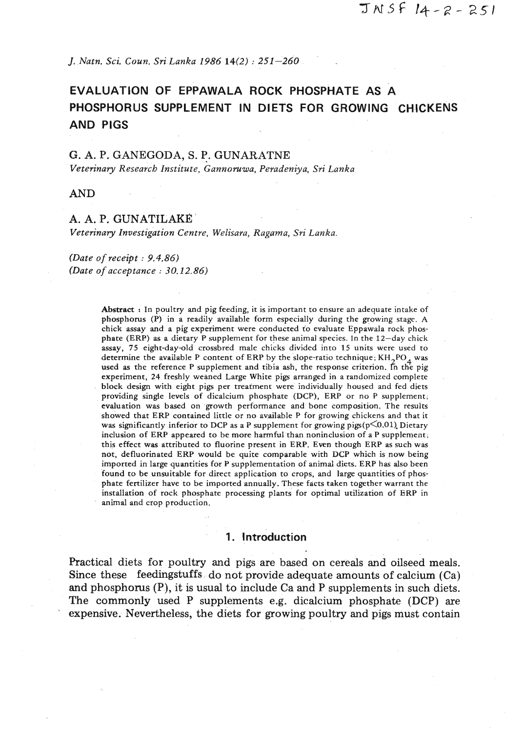*J. Natn. Sci. Coun, Sri Lanka 1986 14(2)* : 251-260

# **EVALUATION OF EPPAWALA ROCK PHOSPHATE AS A PHOSPHORUS SUPPLEMENT IN DIETS FOR GROWING CHICKENS AND PIGS**

#### G. A. P. GANEGODA, S. P. GUNARATNE

*Veterinary Research Institute, Gannomwa, Peradeniya, Sri Lanka* 

AND

## A. A. P. GUNATILAKR

*Veterinary Investigation Centre, Welisara, Ragama,* **Sri** *Lanka.* 

*(Date of receipt* : *9.4.86) (Date of acceptance* : *30.12.86)* 

> Abstract : In poultry and pig feeding, it is important to ensure an adequate intake of phosphorus (P) in a readily available form especially during the growing stage. A chick assay and a pig experiment were conducted to evaluate Eppawala rock phosphate (ERP) as a dietary P supplement for these animal species. In the 12-day chick assay, 75 eight-day-old crossbred male chicks divided into 15 units were used to determine the available P content of ERP by the slope-ratio technique;  $KH_{2}PO_{4}$  was used as the reference P supplement and tibia ash, the response criterion. In the pig experiment, 24 freshly weaned Large White pigs arranged in a randomized complete block design with eight pigs per treatment were individually housed and fed diets providing single levels of dicalcium phosphate (DCP), ERP or no P supplement, evaluation was based on growth performance and bone composition. The results showed that ERP contained little or no available P for growing chickens and that it was significantly inferior to DCP as a P supplement for growing pigs( $p\leq 0.01$ ). Dietary inclusion of ERP appeared to be more harmful than noninclusion of a P supplement, this effect was attributed to fluorine present in ERP. **Even** though ERP as such was not, defluorinated ERP would be quite comparable with DCP which is now being imported in large quantities for P supplementation of animal diets. ERP has also been found to be unsuitable for direct application to crops, and large quantities of phosphate fertilizer have to be imported annually. These facts taken together warrant the installation of rock phosphate processing plants for optimal utilization of ERP in animal and crop production.

#### **1. Introduction**

Practical diets for poultry and pigs are based on cereals and oilseed meals. Since these feedingstuffs do not provide adequate amounts of calcium (Ca) and phosphorus (P), it is usual to include Ca and P supplements in such diets. The commonly used P supplements e.g. dicalcium phosphate (DCP) are expensive. Nevertheless, the diets for growing poultry and pigs must contain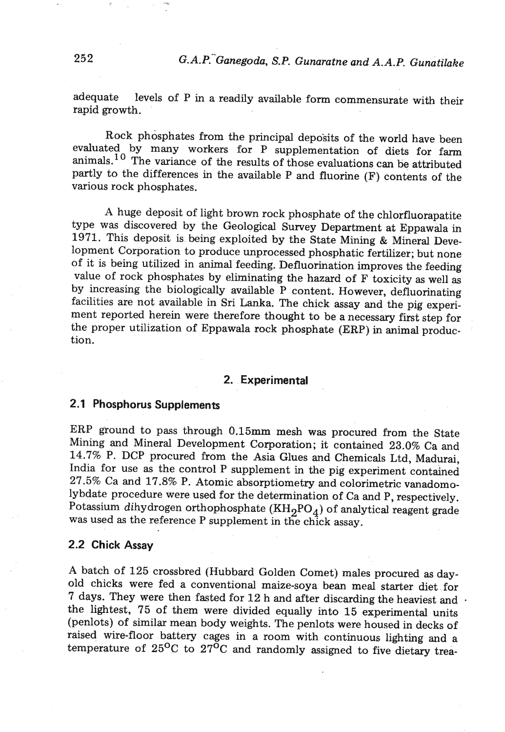adequate levels of P in a readily available form commensurate with their rapid growth.

Rock phosphates from the principal deposits of the world have been evaluated by many workers for P supplementation of diets for farm animals.<sup>10</sup> The variance of the results of those evaluations can be attributed partly to the differences in the available P and fluorine (F) contents of the various rock phosphates.

A huge deposit of light brown rock phosphate of the chlorfluorapatite type was discovered by the Geological Survey Department at Eppawala in 1971. This deposit is being exploited by the State Mining & Mineral Development Corporation to produce unprocessed phosphatic fertilizer; but none of it is being utilized in animal feeding. Defluorination improves the feeding value of rock phosphates by eliminating the hazard of F toxicity as well as by increasing the biologically available P content. However, defluorinating facilities are not available in Sri Lanka. The chick assay and the pig experiment reported herein were therefore thought to be a necessary first step for the proper utilization of Eppawala rock phosphate (ERP) in animal production.

## **2. Experimental**

# **2.1 Phosphorus Supplements**

ERP ground to pass through 0.15mm mesh was procured from the State Mining and Mineral Development Corporation; it contained 23.0% Ca and 14.7% P. DCP procured from the Asia Glues and Chemicals Ltd, Madurai, India for use as the control P supplement in the pig experiment contained 27.5% Ca and 17.8% P. Atomic absorptiometry and colorimetric vanadomolybdate procedure were used for the determination of Ca and P, respectively. Potassium dihydrogen orthophosphate  $(KH_2PO_4)$  of analytical reagent grade was used as the reference P supplement in the chick assay.

## **2.2 Chick Assay**

A batch of 125 crossbred (Hubbard Golden Comet) males procured as dayold chicks were fed a conventional maize-soya bean meal starter diet for 7 days. They were then fasted for  $12$  h and after discarding the heaviest and  $\cdot$ the lightest, 75 of them were divided equally into 15 experimental units (penlots) of similar mean body weights. The penlots were housed in decks of raised wire-floor battery cages in a room with continuous lighting and a temperature of  $25^{\circ}$ C to  $27^{\circ}$ C and randomly assigned to five dietary trea-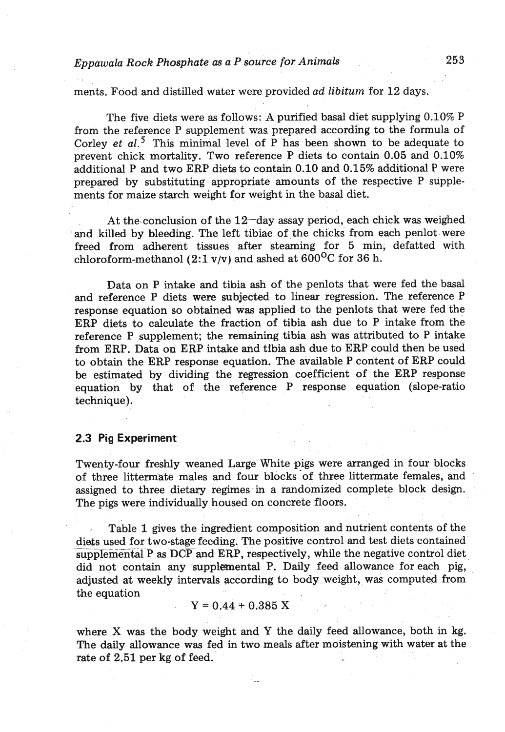# *Eppawala Rock Phosphate as a P source for Animals* **253**

ments. Food and distilled water were provided *ad libitum* for 12 days.

The five diets were as follows: A purified basal diet supplying 0.10% P from the reference P supplement was prepared according to the formula of Corley *et al?* This minimal level of P has been shown to be adequate to prevent chick mortality. Two reference P diets to contain 0.05 and 0.10% additional P and two ERP diets to contain 0.10 and 0.15% additional P were prepared by substituting appropriate amounts of the respective P supplements for maize starch weight for weight in the basal diet.

At the conclusion of the  $12$ -day assay period, each chick was weighed and killed by bleeding. The left tibiae of the chicks from each penlot were freed from adherent tissues after steaming for 5 min, defatted with chloroform-methanol (2:1 v/v) and ashed at  $600^{\circ}$ C for 36 h.

Data on P intake and tibia ash of the penlots that were fed the basal and reference P diets were subjected to linear regression. The reference P response equation so obtained was applied to the penlots that were fed the ERP diets to calculate the fraction of tibia ash due to P intake from the reference P supplement; the remaining tibia ash was attributed to P intake from ERP. Data on ERP intake and tibia ash due to ERP could then be used to obtain the ERP response equation. The available P content of ERP could be estimated by dividing the regression coefficient of the ERP response equation by that of the reference P response equation (slope-ratio technique).

#### **2.3 Pig Experiment**

Twenty-four freshly weaned Large White pigs were arranged in four blocks of three littermate males and four blocks-of three littermate females, and assigned to three dietary regimes in a randomized complete block design. The pigs were individually housed on concrete floors.

Table 1 gives the ingredient composition and nutrient contents of the The pigs were individually housed on concrete floors.<br>Table 1 gives the ingredient composition and nutrient contents of the<br>diets used for two-stage feeding. The positive control and test diets contained<br>supplemental P as dies used for two-stage feeding. The positive control and test diets contained did not contain any supplemental P. Daily feed allowance for each pig, adjusted at weekly intervals according to body weight, was computed from the equation

$$
Y = 0.44 + 0.385 X
$$

where X was the body weight and Y the daily feed allowance, both in kg. The daily allowance was fed in two meals after moistening with water at the rate of 2.51 per kg of feed.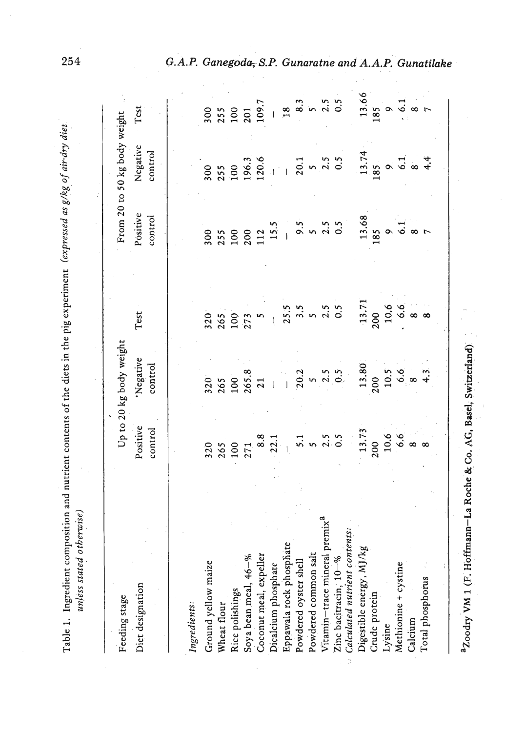| Table 1. Ingredient composition and nutrient contents of the diets in the pig experiment (expressed as g/kg of air-dry diet.<br>unless stated otherwise) |                     |                         |      |                     |                              |      |
|----------------------------------------------------------------------------------------------------------------------------------------------------------|---------------------|-------------------------|------|---------------------|------------------------------|------|
| Feeding stage                                                                                                                                            |                     | Up to 20 kg body weight |      |                     | From 20 to 50 kg body weight |      |
| Diet designation                                                                                                                                         | Positive<br>control | Negative<br>control     | Test | Positive<br>control | Negative<br>control          | Test |
|                                                                                                                                                          |                     |                         |      |                     |                              |      |

| G.A.P. Ganegoda, S.P. Gunaratne and A.A.P. Gunatilake |  |  |
|-------------------------------------------------------|--|--|

| Diet designation                                                                                                                                                                                                                                                   | Positive<br>control | Negative<br>control | ist | rosiuve<br>control | lvegallive<br>control | ו כאן |
|--------------------------------------------------------------------------------------------------------------------------------------------------------------------------------------------------------------------------------------------------------------------|---------------------|---------------------|-----|--------------------|-----------------------|-------|
|                                                                                                                                                                                                                                                                    |                     |                     |     |                    |                       |       |
| Ingredients:                                                                                                                                                                                                                                                       |                     |                     |     |                    |                       |       |
| Ground yellow maize                                                                                                                                                                                                                                                |                     |                     |     |                    |                       |       |
| Wheat flour                                                                                                                                                                                                                                                        |                     |                     |     |                    |                       |       |
| Rice polishings                                                                                                                                                                                                                                                    |                     |                     |     |                    |                       |       |
|                                                                                                                                                                                                                                                                    |                     |                     |     |                    |                       |       |
| Soya bean meal, 46–%<br>Coconut meal, expeller<br>Dicalcium phosphate<br>Eppawala rock phosphate<br>Powdered oyster shell<br>Powdered common salt<br>Vitamin-raze mineral premix <sup>a</sup><br>Zinc bacitracin, 10–%<br>Calculated nutrient contents:<br>Digesti |                     |                     |     |                    |                       |       |
|                                                                                                                                                                                                                                                                    |                     |                     |     |                    |                       |       |
|                                                                                                                                                                                                                                                                    |                     |                     |     |                    |                       |       |
|                                                                                                                                                                                                                                                                    |                     |                     |     |                    |                       |       |
|                                                                                                                                                                                                                                                                    |                     |                     |     |                    |                       |       |
|                                                                                                                                                                                                                                                                    |                     |                     |     |                    |                       |       |
|                                                                                                                                                                                                                                                                    |                     |                     |     |                    |                       |       |
|                                                                                                                                                                                                                                                                    |                     |                     |     |                    |                       |       |
|                                                                                                                                                                                                                                                                    |                     |                     |     |                    |                       |       |
| Crude protein                                                                                                                                                                                                                                                      |                     |                     |     |                    |                       |       |
| Lysine                                                                                                                                                                                                                                                             |                     |                     |     |                    |                       |       |
| Methionine + cystine                                                                                                                                                                                                                                               |                     |                     |     |                    |                       |       |
| Calcium                                                                                                                                                                                                                                                            |                     |                     |     |                    |                       |       |
| Total phosphorus                                                                                                                                                                                                                                                   |                     |                     |     |                    |                       |       |
|                                                                                                                                                                                                                                                                    |                     |                     |     |                    |                       |       |

<sup>2</sup>Zoodry VM 1 (F. Hoffmann-La Roche & Co. AG, Basel, Switzerland) a~oodry VM 1 (F. Hoffmann-La **Roche** & **Co.** AG, Basel, Switzerland)

254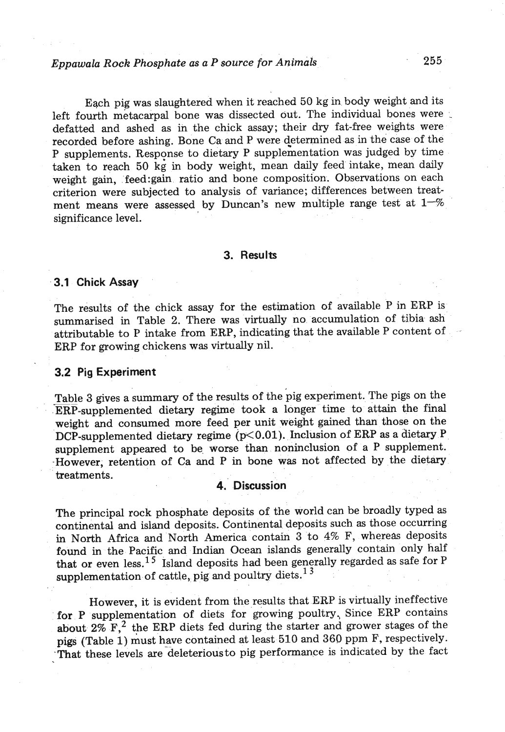# *Eppawala Rock Phosphate as a P source for Animals* **255**

Each pig was slaughtered when it reached 50 kg in body weight and its left fourth metacarpal bone was dissected out. The individual bones were defatted and ashed as in the chick assay; their **dry** fat-free weights were recorded before ashing. Bone Ca and P were determined as in the case of the P supplements. Response to dietary P supplementation was judged by time taken to reach 50 kg in body weight, mean daily feed intake, mean daily weight gain, feed:gain ratio and bone composition. Observations on each criterion were subjected to analysis of variance; differences between treatment means were assessed by Duncan's new multiple range test at **I--%**  significance level.

#### **3. Results**

#### **3.1 Chick Assay**

The results of the chick assay for the estimation of available P in ERP is summarised in Table 2. There was virtually no accumulation of tibia ash attributable to P intake from ERP, indicating that the available P content of ERP for growing chickens **was** virtually nil.

#### **3.2 Pig Experiment**

Table 3 gives a summary of the results of the pig experiment. The pigs on the ERP-supplemented dietary regime took a longer time to attain the final weight and consumed more feed per unit weight gained than those on the DCP-supplemented dietary regime (p<0.01). Inclusion of ERP as a dietary P supplement appeared to be worse than noninclusion of **a** P supplement. -However, retention of Ca and P in bone was not affected by the dietary treatments.

## **4. Discussion**

The principal rock phosphate deposits of the world can be broadly typed **as**  continental and island deposits. Continental deposits such **as** those occurring in North Africa and North America contain 3 to 4% **F,** whereas deposits found in the Pacific and Indian Ocean islands generally contain only half that or even less.<sup>15</sup> Island deposits had been generally regarded as safe for P supplementation of cattle, pig and poultry diets.<sup>13</sup>

However, it is evident from the results that **ERP** is virtually ineffective for P supplementation of diets for growing poultry, Since ERP contains about  $2\%$  F,<sup>2</sup> the ERP diets fed during the starter and grower stages of the pigs (Table 1) must have contained at least 510 and 360 ppm F, respectively. That these levels are deleterious to pig performance is indicated by the fact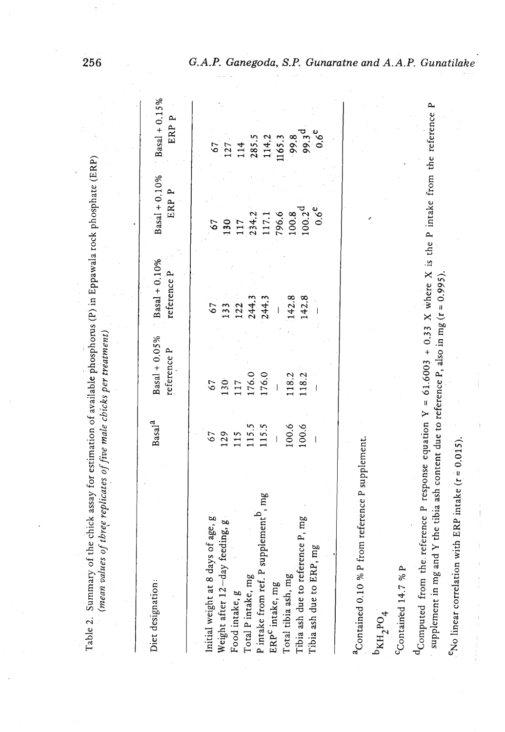| $\frac{1}{2}$<br>r nh an<br>۱<br>ء<br><b>Line of our of</b><br>$\vdots$<br>$\ddot{\phantom{0}}$ |                       |
|-------------------------------------------------------------------------------------------------|-----------------------|
| $\frac{1}{2}$<br>í                                                                              | $max_{\alpha} \alpha$ |
| in anar<br>ا<br>دام                                                                             |                       |

*(mean values of thr5e replicates of five male chicks per treatment)*  (mean values of three replicates of five male chicks per treatment)

| $\begin{array}{r} 67 \\ 127 \\ 134 \\ 285.5 \\ 144.2 \\ 165.3 \\ 169.8 \\ 99.8 \\ 0.6 \\ \end{array}$<br>$67$<br>$130$<br>$117.1$<br>$117.1$<br>$796.8$<br>$100.2$<br>$0.6$<br>$0.6$<br>142.8<br>142.8<br>$67$<br>133<br>122<br>244.3<br>244.3<br>$\begin{array}{c} 67 \\ 130 \\ 117 \\ 176.0 \\ 176.0 \\ -1 \end{array}$<br>118.2<br>118.2<br>$\begin{array}{c} 67 \\ 129 \\ 115 \\ 115.5 \\ 113.5 \\ - \end{array}$<br>$100.6$<br>100.6<br>supplement <sup>D</sup> , mg<br>Initial weight at 8 days of age, g<br>Weight after 12–day feeding, g<br>Tibia ash due to reference P, mg<br>Tibia ash due to ERP, mg<br>Total P intake, mg<br>Total tibia ash, mg<br>P intake from ref. I<br>ERP <sup>c</sup> intake, mg<br>Food intake, g | Diet designation: | Basal <sup>2</sup> | $Basal + 0.05%$<br>reference P | $Basal + 0.10%$<br>reference P | $Basal + 0.10%$<br>ERP P | $Basal + 0.15%$<br>ERP P |
|-----------------------------------------------------------------------------------------------------------------------------------------------------------------------------------------------------------------------------------------------------------------------------------------------------------------------------------------------------------------------------------------------------------------------------------------------------------------------------------------------------------------------------------------------------------------------------------------------------------------------------------------------------------------------------------------------------------------------------------------|-------------------|--------------------|--------------------------------|--------------------------------|--------------------------|--------------------------|
|                                                                                                                                                                                                                                                                                                                                                                                                                                                                                                                                                                                                                                                                                                                                         |                   |                    |                                |                                |                          |                          |
|                                                                                                                                                                                                                                                                                                                                                                                                                                                                                                                                                                                                                                                                                                                                         |                   |                    |                                |                                |                          |                          |
|                                                                                                                                                                                                                                                                                                                                                                                                                                                                                                                                                                                                                                                                                                                                         |                   |                    |                                |                                |                          |                          |
|                                                                                                                                                                                                                                                                                                                                                                                                                                                                                                                                                                                                                                                                                                                                         |                   |                    |                                |                                |                          |                          |
|                                                                                                                                                                                                                                                                                                                                                                                                                                                                                                                                                                                                                                                                                                                                         |                   |                    |                                |                                |                          |                          |
|                                                                                                                                                                                                                                                                                                                                                                                                                                                                                                                                                                                                                                                                                                                                         |                   |                    |                                |                                |                          |                          |
|                                                                                                                                                                                                                                                                                                                                                                                                                                                                                                                                                                                                                                                                                                                                         |                   |                    |                                |                                |                          |                          |
|                                                                                                                                                                                                                                                                                                                                                                                                                                                                                                                                                                                                                                                                                                                                         |                   |                    |                                |                                |                          |                          |
|                                                                                                                                                                                                                                                                                                                                                                                                                                                                                                                                                                                                                                                                                                                                         |                   |                    |                                |                                |                          |                          |
|                                                                                                                                                                                                                                                                                                                                                                                                                                                                                                                                                                                                                                                                                                                                         |                   |                    |                                |                                |                          |                          |
|                                                                                                                                                                                                                                                                                                                                                                                                                                                                                                                                                                                                                                                                                                                                         |                   |                    |                                |                                |                          |                          |
|                                                                                                                                                                                                                                                                                                                                                                                                                                                                                                                                                                                                                                                                                                                                         |                   |                    |                                |                                |                          |                          |

a=ontained 1.0 % p from reference P supplement.  ${}^{\bf a}$ Contained 0.10 % P from reference P supplement.

 $\frac{4}{2}$  $b_{KH_2PO_4}$ 

 $c$ Contained 14.7 % P

suppression in mg and Y the tibia ash content due to reference P, also in mg (r = 0.995). S  $\alpha$ computed from the reference P response equation  $Y = 61.6003 + 0.33$  X where X is the P intake from the reference P  $\epsilon$ dcomputed from the reference P response equation  $Y = 61.6003 + 0.33$  X where X is the P intake from the reference P supplement in mg and Y the tibia ash content due to reference P also in ma $\zeta = 0.605$ . supplement in mg and Y the tibia ash content due to reference P, also in mg  $(t = 0.995)$ .

lake (f = 0.01311011 argument intake (f = 0.01311 correlation with ERP intervention with ERP intervention with  $\kappa$ <sup>e</sup>No linear correlation with ERP intake  $(r = 0.015)$ .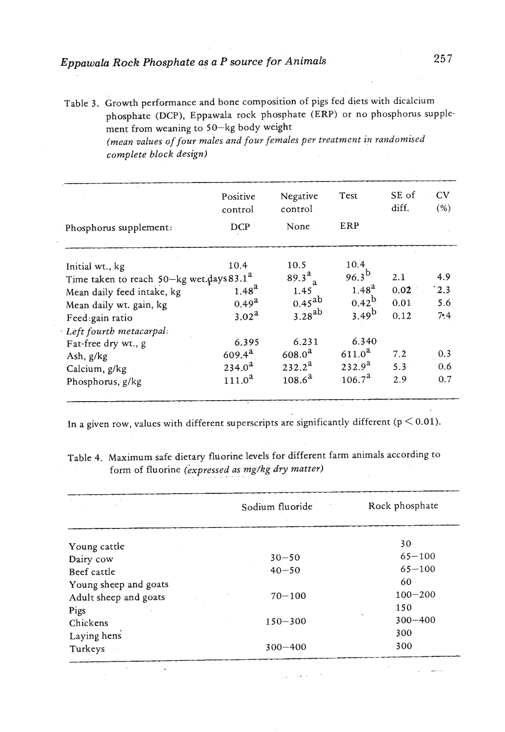# *Eppawaka Rock Phosphate as a P source for Animals*

Table 3. Growth performance and bone composition of pigs fed diets with dicalcium phosphate (DCP), Eppawala rock phosphate (ERP) or no phosphorus supplement from weaning to 50-kg body weight

*(medn values of four males and four females per treatment in randomised complete block design)* 

|                                                      | Positive<br>control | Negative<br>control | Test                   | SE of<br>diff. | CV<br>(% ) |
|------------------------------------------------------|---------------------|---------------------|------------------------|----------------|------------|
| Phosphorus supplement:                               | <b>DCP</b>          | None                | ERP                    |                |            |
| Initial wt., kg                                      | 10.4                | 10.5                | 10.4                   |                |            |
| Time taken to reach 50-kg wet.days 83.1 <sup>2</sup> |                     | $89.3^{a}$          | $96.3^{b}$             | 2.1            | 4.9        |
| Mean daily feed intake, kg                           | $1.48^{a}$          | 1.45                | $1.48^{a}$             | 0.02           | 12.3       |
| Mean daily wt. gain, kg                              | $0.49^{a}$          | $0.45^{ab}$         | $0.42^{b}$             | 0.01           | 5.6        |
| Feed:gain ratio                                      | 3.02 <sup>a</sup>   | $3.28^{ab}$         | $3.49^{b}$             | 0.12           | 7.4        |
| Left fourth metacarpal:                              |                     |                     |                        |                |            |
| Fat-free dry wt., g                                  | 6.395               | 6.231               | 6.340                  |                |            |
| Ash, g/kg                                            | $609.4^{a}$         | $608.0^{a}$         | $611.0^a$              | 7.2            | 0.3        |
| Calcium, g/kg                                        | $234.0^{a}$         | $232.2^a$           | $232.9^{a}$            | 5.3            | 0.6        |
| Phosphorus, g/kg                                     | 111.0 <sup>2</sup>  | $108.6^a$           | $106.7^{\textstyle a}$ | 2.9            | 0.7        |

In a given row, values with different superscripts are significantly different ( $p < 0.01$ ).

Table 4. Maximum safe dietary fluorine levels for different farm animals according to form of fluorine *(expressed as mg/kg dry matter)* Table 4.

|                       | Sodium fluoride | Rock phosphate |
|-----------------------|-----------------|----------------|
|                       |                 |                |
| Young cattle          |                 | 30             |
| Dairy cow             | $30 - 50$       | $65 - 100$     |
| Beef cattle           | $40 - 50$       | $65 - 100$     |
| Young sheep and goats |                 | 60             |
| Adult sheep and goats | $70 - 100$      | $100 - 200$    |
| Pigs                  |                 | 150            |
| Chickens              | $150 - 300$     | $300 - 400$    |
| Laying hens           |                 | 300            |
| Turkeys               | $300 - 400$     | 300            |

257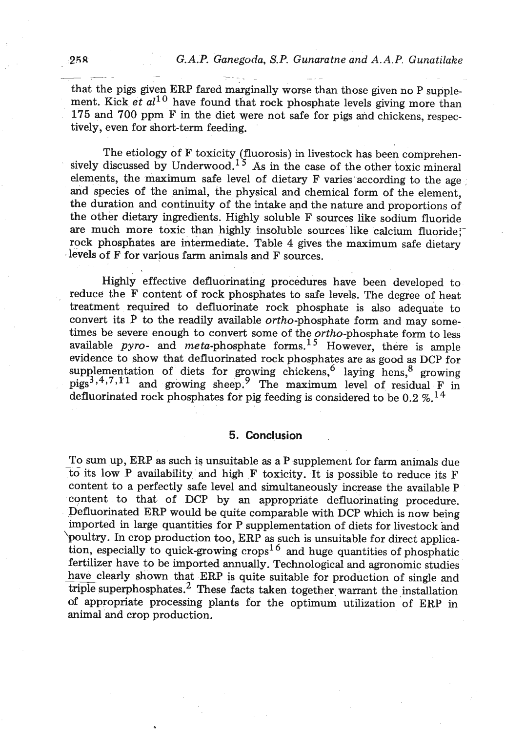258 G.A.P. Ganegoda, S.P. Gunaratne and A.A.P. Gunatilake<br>
that the pigs given ERP fared marginally worse than those given no P supplement. Kick et  $al^{10}$  have found that rock phosphate levels giving more than 175 and 700 ppm F in the diet were not safe for pigs and chickens, respectively, even for short-term feeding.

The etiology of F toxicity (fluorosis) in livestock has been comprehensively discussed by Underwood.<sup>15</sup> As in the case of the other toxic mineral elements, the maximum safe level of dietary F varies according to the age and species of the animal, the physical and chemical form of the element, the duration and continuity of the intake and the nature and proportions of the other dietary ingredients. Highly soluble F sources like sodium fluoride are much more toxic than highly insoluble sources like calcium fluoride; rock phosphates are intermediate. Table 4 gives the maximum safe dietary levels of F for various farm animals and F sources.

Highly effective defluorinating procedures have been developed to reduce the F content of rock phosphates to safe levels. The degree of heat treatment required to defluorinate rock phosphate is also adequate to convert its P to the readily available ortho-phosphate form and may sometimes be severe enough to convert some of the *ortho-phosphate* form to less available  $pyro-$  and  $meta-phosphate$  forms.<sup>15</sup> However, there is ample evidence to show that defluorinated rock phosphates are as good as DCP for supplementation of diets for growing chickens,  $6$  laying hens,  $8$  growing  $pigs^{3,4,7,11}$  and growing sheep.<sup>9</sup> The maximum level of residual F in defluorinated rock phosphates for pig feeding is considered to be  $0.2 \%$ .<sup>14</sup>

## **5. Conclusion** .

To sum up, ERP as such is unsuitable as a P supplement for farm animals due to its low P availability and high F toxicity. It is possible to reduce its F content to a perfectly safe level and simultaneously increase the available P content to that of DCP by an appropriate defluorinating procedure. Defluorinated ERP would be quite comparable with DCP which is now being imported in large quantities for P supplementation of diets for livestock and 'poultry. In crop production too, ERP as such is unsuitable for direct application, especially to quick-growing crops<sup>16</sup> and huge quantities of phosphatic fertilizer have to be imported annually. Technological and agronomic studies have clearly shown that ERP is quite suitable for production of single and triple superphosphates.<sup>2</sup> These facts taken together warrant the installation of appropriate processing plants for the optimum utilization of ERP in animal and crop production.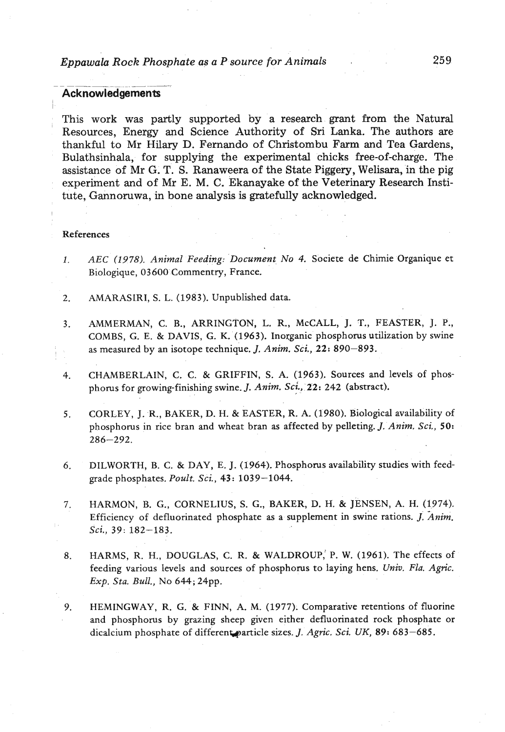# *Eppawala Rock Phosphate as a P source for Animals* . **259**  Eppawala Rock Phosp<br>Acknowledgements

## **Acknowledgements**

This work was partly supported by a research grant from the Natural Resources, Energy and Science Authority of Sri Lanka. The authors are thankful to Mr Hilary D. Fernando of Christombu **Farm** and Tea Gardens, Bulathsinhala, for supplying the experimental chicks free-of-charge. The assistance of Mr G. T. S. Ranaweera of the State Piggery, Welisara, in the pig experiment and of Mr E. M. C. Ekanayake of the Veterinary Research Institute, Gannoruwa, in bone analysis is gratefully acknowledged.

#### References

- *1. AEC (1978). Animal Feeding: Document No 4.* Societe de Chimie Organique et Biologique, **03600** Commentry, France.
- 2. AMARASIRI, S. L. **(1983).** Unpublished data.
- **3.** AMMERMAN, C. B., ARRINGTON, L. R., McCALL, J. T., FEASTER, J. P., COMBS, G. E. & DAVIS, G. K. **(1963).** Inorganic phosphorus utilization by swine as measured by an isotope technique. J. *Anim. Sci.,* **22: 890-893.**
- 4. CHAMBERLAIN, C. C. & GRIFFIN, S. A. **(1963).** Sources and levels of phosphorus for growing-finishing swine. J. *Anim. Sci.,* **22: 242** (abstract).
- **5.** CORLEY, J. R., BAKER, D. H. & EASTER, R. A. **(1980).** Biological availability of phosphorus in rice bran and wheat bran **as** affected by pelleting. J. *Anim, Sci.,* **50: 286-292.**
- **6.** DILWORTH, B. C. & DAY, E. J. **(1964).** Phosphorus availability studies with feedgrade phosphates. *Poult. Sci.,* 43: **1039-1044.**
- **7.** HARMON, B. G., CORNELIUS, S. G., BAKER, D. H. & JENSEN, A. H. **(1974).**  Efficiency of defluorinated phosphate **as** a supplement in swine rations. *J. Anim. Sci.,* **39: 182-183.**
- **8.** HARMS, R. H., DOUGLAS, C. R, & WALDROUP,' P. W. **(1961).** The effects of feeding various levels and sources of phosphorus to laying hens. *Univ. Flu. Agric. Exp. Sta. Bull.,* No **644; 24pp.**
- **9.** HEMINGWAY, R. G. & FINN, A. M. **(1977);** Comparative retentions of fluorine and phosphorus by grazing sheep given either defluorinated rock phosphate or dicalcium phosphate of different particle sizes. *J. Agric. Sci. UK*, 89: 683-685.